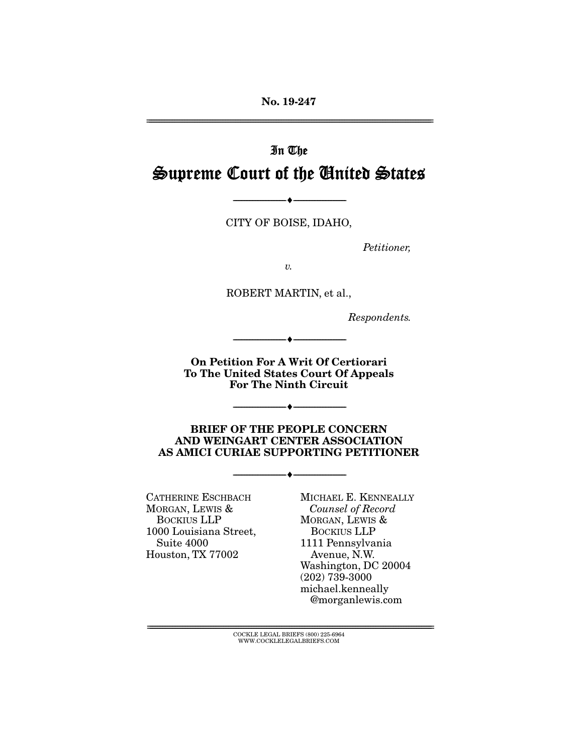No. 19-247

================================================================================================================

# In The Supreme Court of the United States

CITY OF BOISE, IDAHO,

 $\longrightarrow$   $\longleftarrow$   $\longleftarrow$   $\longleftarrow$   $\longleftarrow$   $\longleftarrow$   $\longleftarrow$   $\longleftarrow$   $\longleftarrow$   $\longleftarrow$   $\longleftarrow$   $\longleftarrow$   $\longleftarrow$   $\longleftarrow$   $\longleftarrow$   $\longleftarrow$   $\longleftarrow$   $\longleftarrow$   $\longleftarrow$   $\longleftarrow$   $\longleftarrow$   $\longleftarrow$   $\longleftarrow$   $\longleftarrow$   $\longleftarrow$   $\longleftarrow$   $\longleftarrow$   $\longleftarrow$   $\longleftarrow$   $\longleftarrow$   $\longleftarrow$   $\longleftarrow$ 

*Petitioner,* 

*v.*

ROBERT MARTIN, et al.,

*Respondents.* 

On Petition For A Writ Of Certiorari To The United States Court Of Appeals For The Ninth Circuit

--------------------------------- ---------------------------------

--------------------------------- ---------------------------------

BRIEF OF THE PEOPLE CONCERN AND WEINGART CENTER ASSOCIATION AS AMICI CURIAE SUPPORTING PETITIONER

--------------------------------- ---------------------------------

CATHERINE ESCHBACH MORGAN, LEWIS & BOCKIUS LLP 1000 Louisiana Street, Suite 4000 Houston, TX 77002

MICHAEL E. KENNEALLY *Counsel of Record*  MORGAN, LEWIS & BOCKIUS LLP 1111 Pennsylvania Avenue, N.W. Washington, DC 20004 (202) 739-3000 michael.kenneally @morganlewis.com

 $\text{COCKLE LEGAL BRIEFS}$  (800) 225-6964 WWW.COCKLELEGALBRIEFS.COM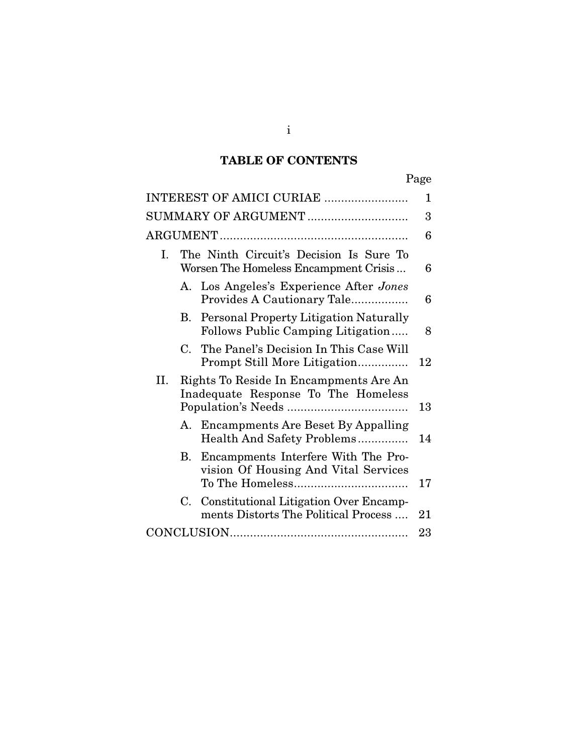# TABLE OF CONTENTS

| Page                                                                                        |    |
|---------------------------------------------------------------------------------------------|----|
| INTEREST OF AMICI CURIAE                                                                    | 1  |
|                                                                                             | 3  |
|                                                                                             | 6  |
| The Ninth Circuit's Decision Is Sure To<br>Ι.<br>Worsen The Homeless Encampment Crisis      | 6  |
| Los Angeles's Experience After Jones<br>A.<br>Provides A Cautionary Tale                    | 6  |
| Personal Property Litigation Naturally<br>В.<br>Follows Public Camping Litigation           | 8  |
| C. The Panel's Decision In This Case Will<br>Prompt Still More Litigation                   | 12 |
| Rights To Reside In Encampments Are An<br>II.<br>Inadequate Response To The Homeless        | 13 |
| A. Encampments Are Beset By Appalling<br>Health And Safety Problems                         | 14 |
| B. Encampments Interfere With The Pro-<br>vision Of Housing And Vital Services              | 17 |
| <b>Constitutional Litigation Over Encamp-</b><br>C.<br>ments Distorts The Political Process | 21 |
|                                                                                             | 23 |

i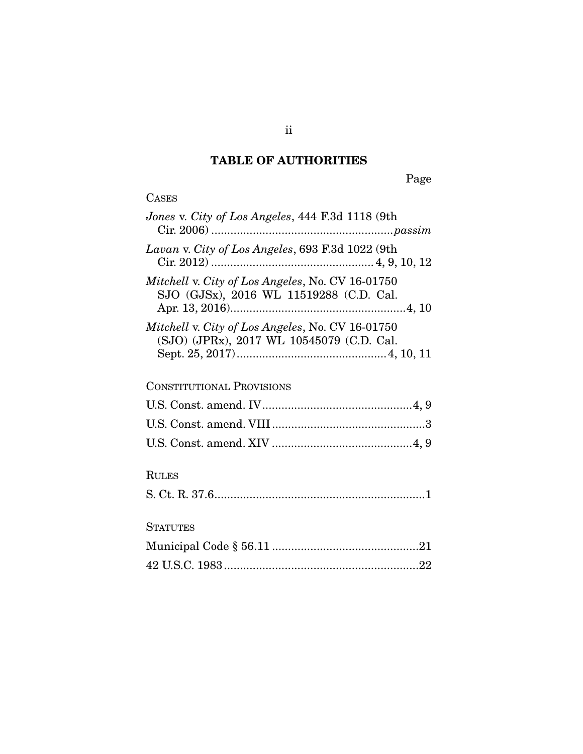## TABLE OF AUTHORITIES

Page

| Jones v. City of Los Angeles, 444 F.3d 1118 (9th                                              |
|-----------------------------------------------------------------------------------------------|
| Lavan v. City of Los Angeles, 693 F.3d 1022 (9th                                              |
| Mitchell v. City of Los Angeles, No. CV 16-01750<br>SJO (GJSx), 2016 WL 11519288 (C.D. Cal.   |
| Mitchell v. City of Los Angeles, No. CV 16-01750<br>(SJO) (JPRx), 2017 WL 10545079 (C.D. Cal. |
| <b>CONSTITUTIONAL PROVISIONS</b>                                                              |
|                                                                                               |
|                                                                                               |
|                                                                                               |
| <b>RULES</b>                                                                                  |
|                                                                                               |

## **STATUTES**

ii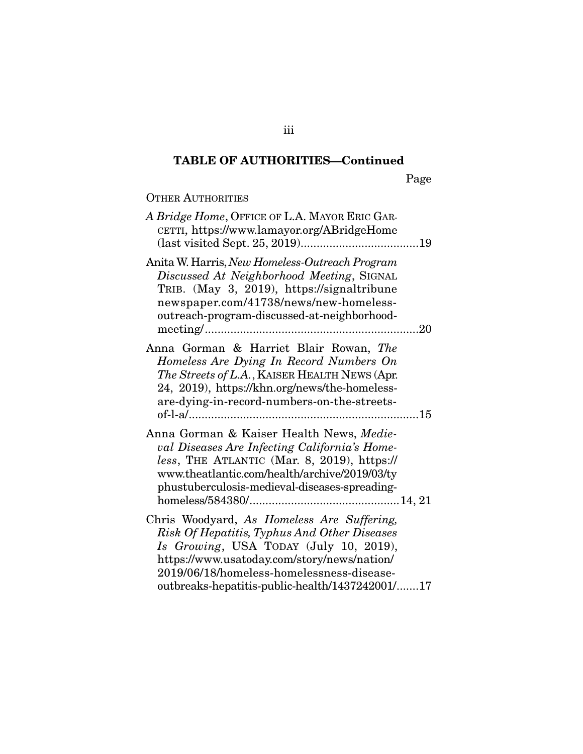Page

## OTHER AUTHORITIES

| A Bridge Home, OFFICE OF L.A. MAYOR ERIC GAR-<br>CETTI, https://www.lamayor.org/ABridgeHome                                                                                                                                                                                         |  |
|-------------------------------------------------------------------------------------------------------------------------------------------------------------------------------------------------------------------------------------------------------------------------------------|--|
| Anita W. Harris, New Homeless-Outreach Program<br>Discussed At Neighborhood Meeting, SIGNAL<br>TRIB. (May 3, 2019), https://signaltribune<br>newspaper.com/41738/news/new-homeless-<br>outreach-program-discussed-at-neighborhood-                                                  |  |
| Anna Gorman & Harriet Blair Rowan, The<br>Homeless Are Dying In Record Numbers On<br>The Streets of L.A., KAISER HEALTH NEWS (Apr.<br>24, 2019), https://khn.org/news/the-homeless-<br>are-dying-in-record-numbers-on-the-streets-                                                  |  |
| Anna Gorman & Kaiser Health News, Medie-<br>val Diseases Are Infecting California's Home-<br>less, THE ATLANTIC (Mar. 8, 2019), https://<br>www.theatlantic.com/health/archive/2019/03/ty<br>phustuberculosis-medieval-diseases-spreading-                                          |  |
| Chris Woodyard, As Homeless Are Suffering,<br>Risk Of Hepatitis, Typhus And Other Diseases<br>Is Growing, USA TODAY (July 10, 2019),<br>https://www.usatoday.com/story/news/nation/<br>2019/06/18/homeless-homelessness-disease-<br>outbreaks-hepatitis-public-health/1437242001/17 |  |

iii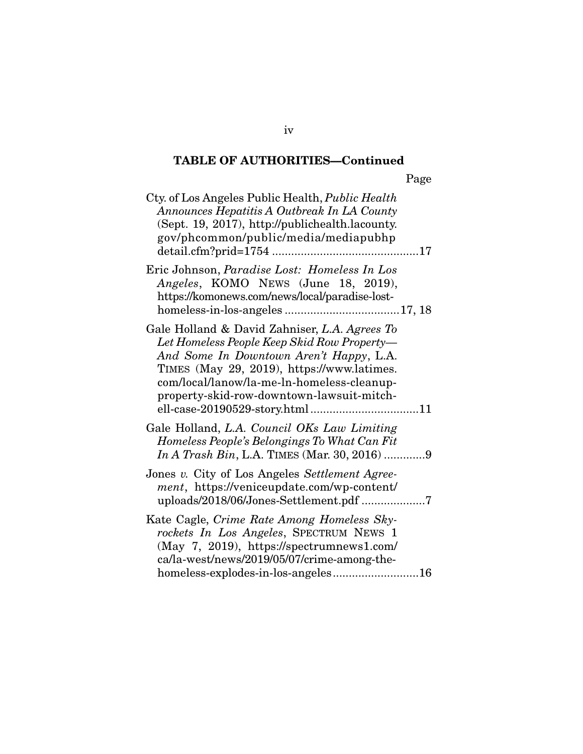Page

| Cty. of Los Angeles Public Health, Public Health<br>Announces Hepatitis A Outbreak In LA County<br>(Sept. 19, 2017), http://publichealth.lacounty.<br>gov/phcommon/public/media/mediapubhp                                                                                       |
|----------------------------------------------------------------------------------------------------------------------------------------------------------------------------------------------------------------------------------------------------------------------------------|
| Eric Johnson, Paradise Lost: Homeless In Los<br>Angeles, KOMO NEWS (June 18, 2019),<br>https://komonews.com/news/local/paradise-lost-                                                                                                                                            |
| Gale Holland & David Zahniser, L.A. Agrees To<br>Let Homeless People Keep Skid Row Property—<br>And Some In Downtown Aren't Happy, L.A.<br>TIMES (May 29, 2019), https://www.latimes.<br>com/local/lanow/la-me-ln-homeless-cleanup-<br>property-skid-row-downtown-lawsuit-mitch- |
| Gale Holland, L.A. Council OKs Law Limiting<br>Homeless People's Belongings To What Can Fit<br><i>In A Trash Bin, L.A. TIMES (Mar. 30, 2016) </i> 9                                                                                                                              |
| Jones v. City of Los Angeles Settlement Agree-<br>ment, https://veniceupdate.com/wp-content/<br>uploads/2018/06/Jones-Settlement.pdf 7                                                                                                                                           |
| Kate Cagle, Crime Rate Among Homeless Sky-<br>rockets In Los Angeles, SPECTRUM NEWS 1<br>(May 7, 2019), https://spectrumnews1.com/<br>ca/la-west/news/2019/05/07/crime-among-the-<br>homeless-explodes-in-los-angeles16                                                          |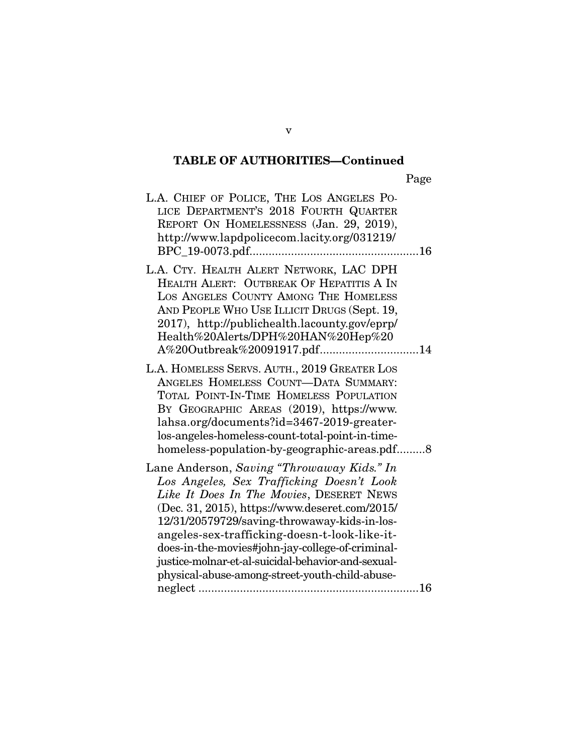Page

| L.A. CHIEF OF POLICE, THE LOS ANGELES PO-<br>LICE DEPARTMENT'S 2018 FOURTH QUARTER<br>REPORT ON HOMELESSNESS (Jan. 29, 2019),<br>http://www.lapdpolicecom.lacity.org/031219/                                                                                                                                                                                                                                                                       |
|----------------------------------------------------------------------------------------------------------------------------------------------------------------------------------------------------------------------------------------------------------------------------------------------------------------------------------------------------------------------------------------------------------------------------------------------------|
| L.A. CTY. HEALTH ALERT NETWORK, LAC DPH<br>HEALTH ALERT: OUTBREAK OF HEPATITIS A IN<br>LOS ANGELES COUNTY AMONG THE HOMELESS<br>AND PEOPLE WHO USE ILLICIT DRUGS (Sept. 19,<br>2017), http://publichealth.lacounty.gov/eprp/<br>Health%20Alerts/DPH%20HAN%20Hep%20<br>A%20Outbreak%20091917.pdf14                                                                                                                                                  |
| L.A. HOMELESS SERVS. AUTH., 2019 GREATER LOS<br>ANGELES HOMELESS COUNT-DATA SUMMARY:<br>TOTAL POINT-IN-TIME HOMELESS POPULATION<br>BY GEOGRAPHIC AREAS (2019), https://www.<br>lahsa.org/documents?id=3467-2019-greater-<br>los-angeles-homeless-count-total-point-in-time-<br>homeless-population-by-geographic-areas.pdf8                                                                                                                        |
| Lane Anderson, Saving "Throwaway Kids." In<br>Los Angeles, Sex Trafficking Doesn't Look<br>Like It Does In The Movies, DESERET NEWS<br>(Dec. 31, 2015), https://www.deseret.com/2015/<br>12/31/20579729/saving-throwaway-kids-in-los-<br>angeles-sex-trafficking-doesn-t-look-like-it-<br>does-in-the-movies#john-jay-college-of-criminal-<br>justice-molnar-et-al-suicidal-behavior-and-sexual-<br>physical-abuse-among-street-youth-child-abuse- |

v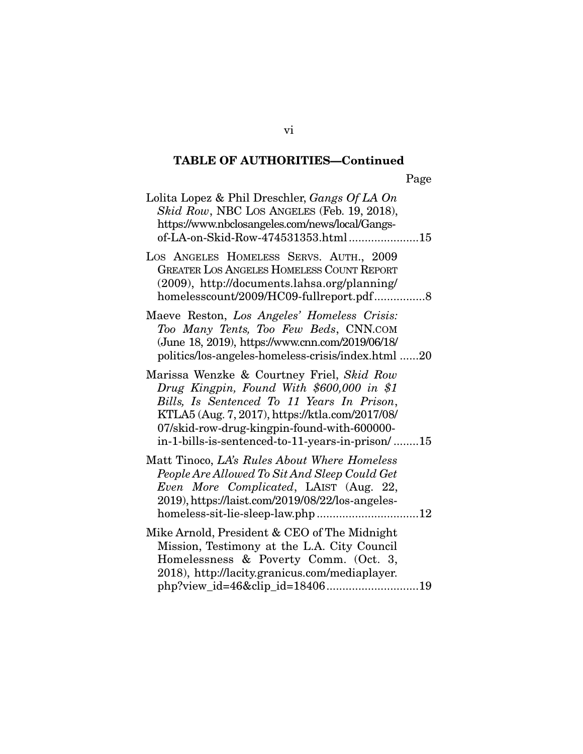| D<br>Page |
|-----------|
|-----------|

| Lolita Lopez & Phil Dreschler, Gangs Of LA On<br>Skid Row, NBC LOS ANGELES (Feb. 19, 2018),<br>https://www.nbclosangeles.com/news/local/Gangs-<br>of-LA-on-Skid-Row-474531353.html15                                                                                                       |  |
|--------------------------------------------------------------------------------------------------------------------------------------------------------------------------------------------------------------------------------------------------------------------------------------------|--|
| LOS ANGELES HOMELESS SERVS. AUTH., 2009<br><b>GREATER LOS ANGELES HOMELESS COUNT REPORT</b><br>$(2009)$ , http://documents.lahsa.org/planning/<br>homelesscount/2009/HC09-fullreport.pdf8                                                                                                  |  |
| Maeve Reston, Los Angeles' Homeless Crisis:<br>Too Many Tents, Too Few Beds, CNN.COM<br>(June 18, 2019), https://www.cnn.com/2019/06/18/<br>politics/los-angeles-homeless-crisis/index.html 20                                                                                             |  |
| Marissa Wenzke & Courtney Friel, Skid Row<br>Drug Kingpin, Found With \$600,000 in \$1<br>Bills, Is Sentenced To 11 Years In Prison,<br>KTLA5 (Aug. 7, 2017), https://ktla.com/2017/08/<br>07/skid-row-drug-kingpin-found-with-600000-<br>in-1-bills-is-sentenced-to-11-years-in-prison/15 |  |
| Matt Tinoco, LA's Rules About Where Homeless<br>People Are Allowed To Sit And Sleep Could Get<br>Even More Complicated, LAIST (Aug. 22,<br>2019), https://laist.com/2019/08/22/los-angeles-                                                                                                |  |
| Mike Arnold, President & CEO of The Midnight<br>Mission, Testimony at the L.A. City Council<br>Homelessness & Poverty Comm. (Oct. 3,<br>2018), http://lacity.granicus.com/mediaplayer.<br>php?view_id=46&clip_id=1840619                                                                   |  |

vi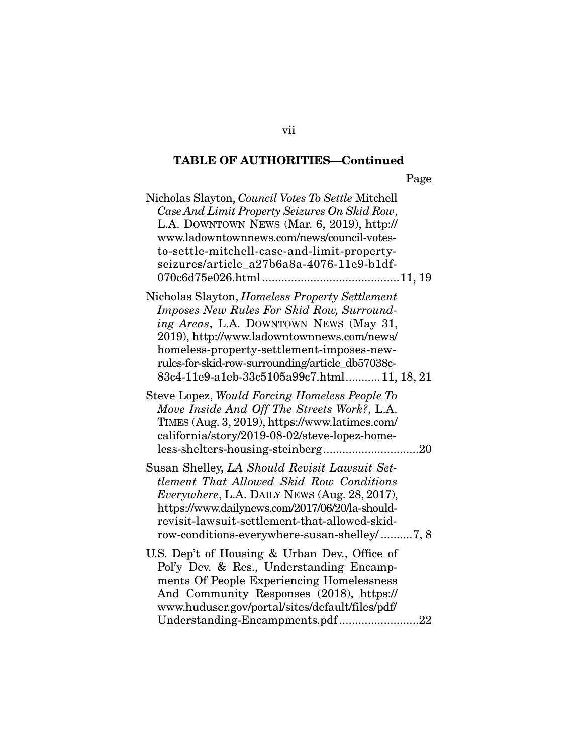Page

| Nicholas Slayton, Council Votes To Settle Mitchell<br>Case And Limit Property Seizures On Skid Row,<br>L.A. DOWNTOWN NEWS (Mar. 6, 2019), http://<br>www.ladowntownnews.com/news/council-votes-<br>to-settle-mitchell-case-and-limit-property-<br>seizures/article_a27b6a8a-4076-11e9-b1df-                                        |
|------------------------------------------------------------------------------------------------------------------------------------------------------------------------------------------------------------------------------------------------------------------------------------------------------------------------------------|
| Nicholas Slayton, Homeless Property Settlement<br>Imposes New Rules For Skid Row, Surround-<br>ing Areas, L.A. DOWNTOWN NEWS (May 31,<br>2019), http://www.ladowntownnews.com/news/<br>homeless-property-settlement-imposes-new-<br>rules-for-skid-row-surrounding/article_db57038c-<br>83c4-11e9-a1eb-33c5105a99c7.html11, 18, 21 |
| Steve Lopez, Would Forcing Homeless People To<br>Move Inside And Off The Streets Work?, L.A.<br>TIMES (Aug. 3, 2019), https://www.latimes.com/<br>california/story/2019-08-02/steve-lopez-home-                                                                                                                                    |
| Susan Shelley, LA Should Revisit Lawsuit Set-<br>tlement That Allowed Skid Row Conditions<br><i>Everywhere, L.A. DAILY NEWS (Aug. 28, 2017),</i><br>https://www.dailynews.com/2017/06/20/la-should-<br>revisit-lawsuit-settlement-that-allowed-skid-<br>row-conditions-everywhere-susan-shelley/7, 8                               |
| U.S. Dep't of Housing & Urban Dev., Office of<br>Pol'y Dev. & Res., Understanding Encamp-<br>ments Of People Experiencing Homelessness<br>And Community Responses (2018), https://<br>www.huduser.gov/portal/sites/default/files/pdf/<br>Understanding-Encampments.pdf22                                                           |

vii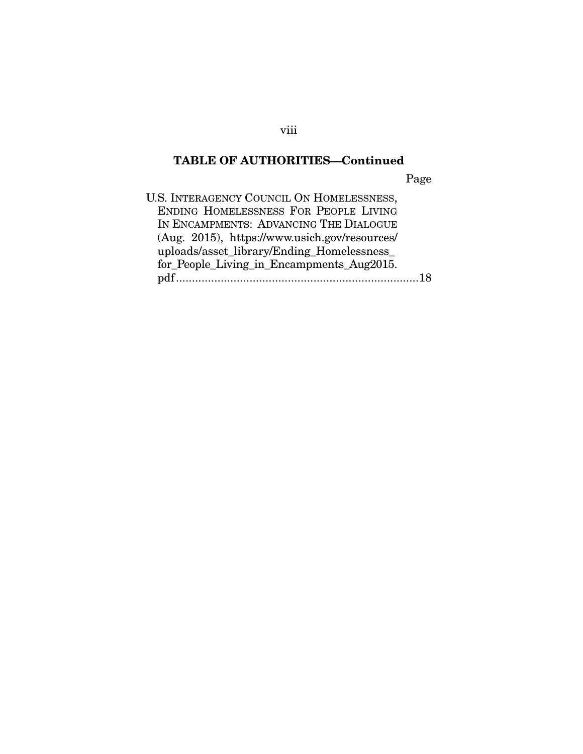Page

| U.S. INTERAGENCY COUNCIL ON HOMELESSNESS,     |  |
|-----------------------------------------------|--|
| ENDING HOMELESSNESS FOR PEOPLE LIVING         |  |
| IN ENCAMPMENTS: ADVANCING THE DIALOGUE        |  |
| (Aug. 2015), https://www.usich.gov/resources/ |  |
| uploads/asset_library/Ending_Homelessness_    |  |
| for_People_Living_in_Encampments_Aug2015.     |  |
|                                               |  |

viii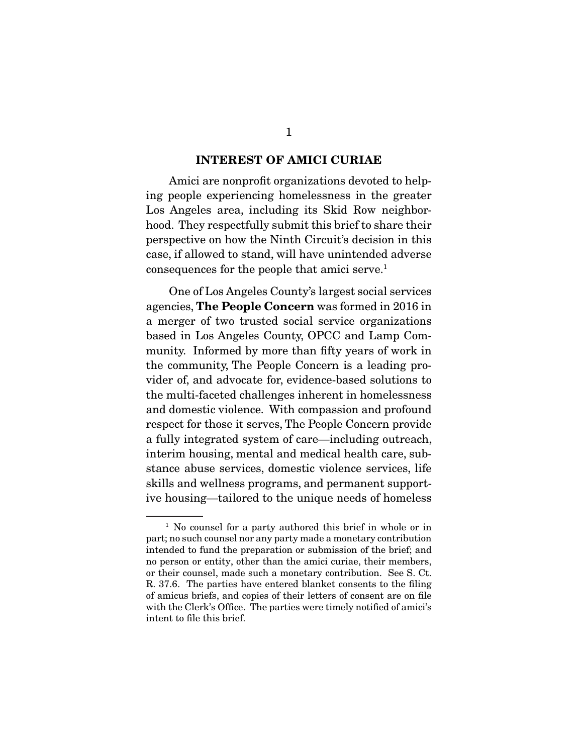#### INTEREST OF AMICI CURIAE

 Amici are nonprofit organizations devoted to helping people experiencing homelessness in the greater Los Angeles area, including its Skid Row neighborhood. They respectfully submit this brief to share their perspective on how the Ninth Circuit's decision in this case, if allowed to stand, will have unintended adverse consequences for the people that amici serve.<sup>1</sup>

 One of Los Angeles County's largest social services agencies, The People Concern was formed in 2016 in a merger of two trusted social service organizations based in Los Angeles County, OPCC and Lamp Community. Informed by more than fifty years of work in the community, The People Concern is a leading provider of, and advocate for, evidence-based solutions to the multi-faceted challenges inherent in homelessness and domestic violence. With compassion and profound respect for those it serves, The People Concern provide a fully integrated system of care—including outreach, interim housing, mental and medical health care, substance abuse services, domestic violence services, life skills and wellness programs, and permanent supportive housing—tailored to the unique needs of homeless

<sup>&</sup>lt;sup>1</sup> No counsel for a party authored this brief in whole or in part; no such counsel nor any party made a monetary contribution intended to fund the preparation or submission of the brief; and no person or entity, other than the amici curiae, their members, or their counsel, made such a monetary contribution. See S. Ct. R. 37.6. The parties have entered blanket consents to the filing of amicus briefs, and copies of their letters of consent are on file with the Clerk's Office. The parties were timely notified of amici's intent to file this brief.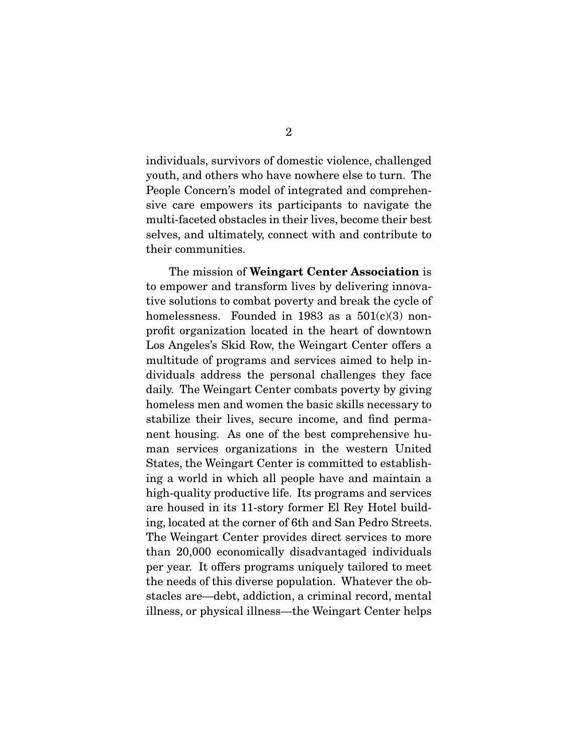individuals, survivors of domestic violence, challenged youth, and others who have nowhere else to turn. The People Concern's model of integrated and comprehensive care empowers its participants to navigate the multi-faceted obstacles in their lives, become their best selves, and ultimately, connect with and contribute to their communities.

 The mission of Weingart Center Association is to empower and transform lives by delivering innovative solutions to combat poverty and break the cycle of homelessness. Founded in 1983 as a  $501(c)(3)$  nonprofit organization located in the heart of downtown Los Angeles's Skid Row, the Weingart Center offers a multitude of programs and services aimed to help individuals address the personal challenges they face daily. The Weingart Center combats poverty by giving homeless men and women the basic skills necessary to stabilize their lives, secure income, and find permanent housing. As one of the best comprehensive human services organizations in the western United States, the Weingart Center is committed to establishing a world in which all people have and maintain a high-quality productive life. Its programs and services are housed in its 11-story former El Rey Hotel building, located at the corner of 6th and San Pedro Streets. The Weingart Center provides direct services to more than 20,000 economically disadvantaged individuals per year. It offers programs uniquely tailored to meet the needs of this diverse population. Whatever the obstacles are—debt, addiction, a criminal record, mental illness, or physical illness—the Weingart Center helps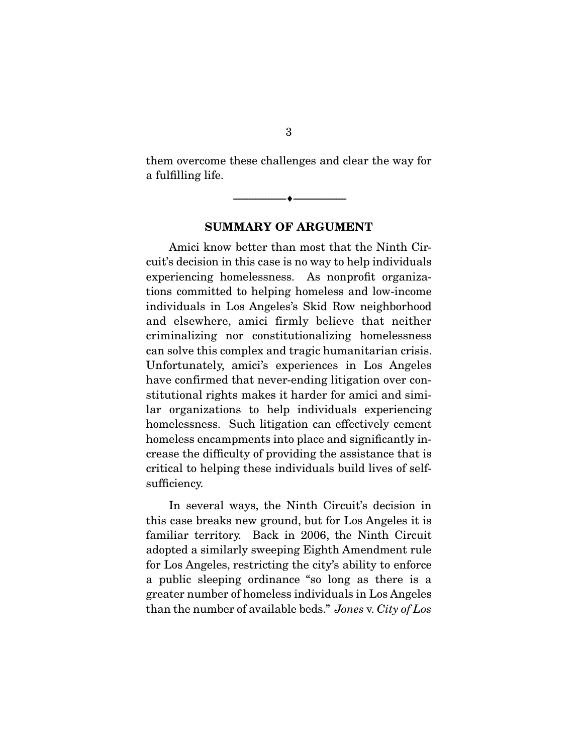them overcome these challenges and clear the way for a fulfilling life.

SUMMARY OF ARGUMENT

--------------------------------- ---------------------------------

 Amici know better than most that the Ninth Circuit's decision in this case is no way to help individuals experiencing homelessness. As nonprofit organizations committed to helping homeless and low-income individuals in Los Angeles's Skid Row neighborhood and elsewhere, amici firmly believe that neither criminalizing nor constitutionalizing homelessness can solve this complex and tragic humanitarian crisis. Unfortunately, amici's experiences in Los Angeles have confirmed that never-ending litigation over constitutional rights makes it harder for amici and similar organizations to help individuals experiencing homelessness. Such litigation can effectively cement homeless encampments into place and significantly increase the difficulty of providing the assistance that is critical to helping these individuals build lives of selfsufficiency.

 In several ways, the Ninth Circuit's decision in this case breaks new ground, but for Los Angeles it is familiar territory. Back in 2006, the Ninth Circuit adopted a similarly sweeping Eighth Amendment rule for Los Angeles, restricting the city's ability to enforce a public sleeping ordinance "so long as there is a greater number of homeless individuals in Los Angeles than the number of available beds." *Jones* v. *City of Los*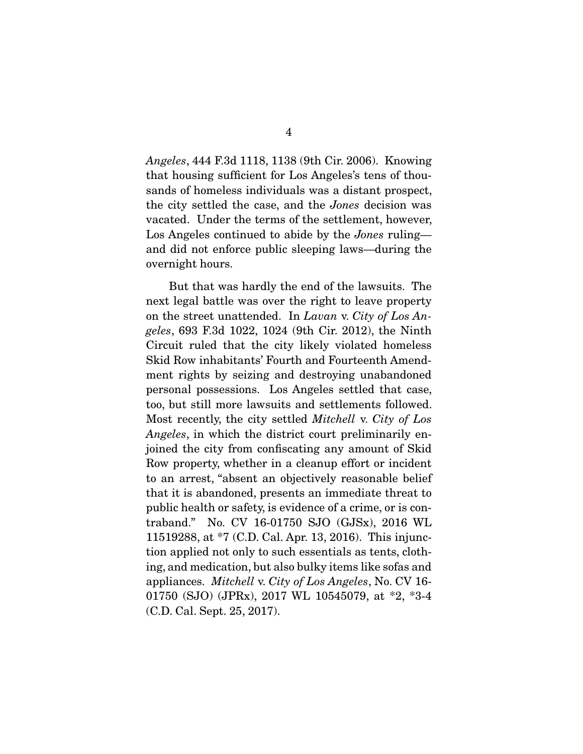*Angeles*, 444 F.3d 1118, 1138 (9th Cir. 2006). Knowing that housing sufficient for Los Angeles's tens of thousands of homeless individuals was a distant prospect, the city settled the case, and the *Jones* decision was vacated. Under the terms of the settlement, however, Los Angeles continued to abide by the *Jones* ruling and did not enforce public sleeping laws—during the overnight hours.

 But that was hardly the end of the lawsuits. The next legal battle was over the right to leave property on the street unattended. In *Lavan* v. *City of Los Angeles*, 693 F.3d 1022, 1024 (9th Cir. 2012), the Ninth Circuit ruled that the city likely violated homeless Skid Row inhabitants' Fourth and Fourteenth Amendment rights by seizing and destroying unabandoned personal possessions. Los Angeles settled that case, too, but still more lawsuits and settlements followed. Most recently, the city settled *Mitchell* v. *City of Los Angeles*, in which the district court preliminarily enjoined the city from confiscating any amount of Skid Row property, whether in a cleanup effort or incident to an arrest, "absent an objectively reasonable belief that it is abandoned, presents an immediate threat to public health or safety, is evidence of a crime, or is contraband." No. CV 16-01750 SJO (GJSx), 2016 WL 11519288, at \*7 (C.D. Cal. Apr. 13, 2016). This injunction applied not only to such essentials as tents, clothing, and medication, but also bulky items like sofas and appliances. *Mitchell* v. *City of Los Angeles*, No. CV 16- 01750 (SJO) (JPRx), 2017 WL 10545079, at \*2, \*3-4 (C.D. Cal. Sept. 25, 2017).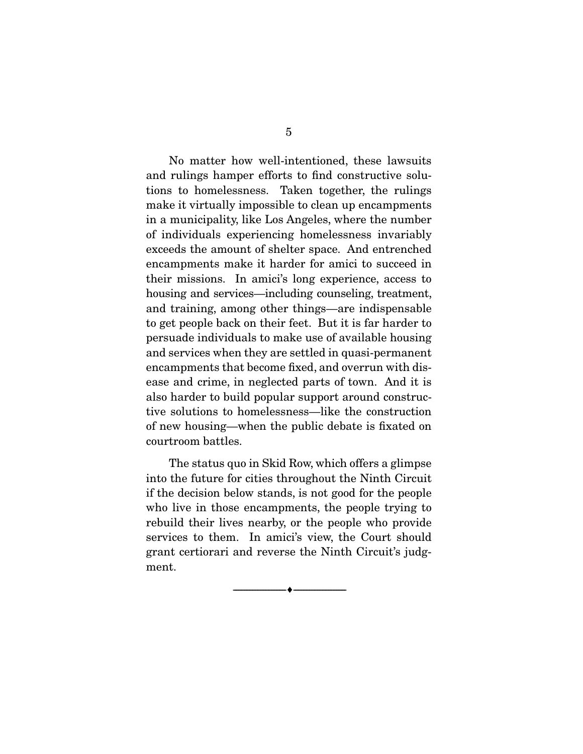No matter how well-intentioned, these lawsuits and rulings hamper efforts to find constructive solutions to homelessness. Taken together, the rulings make it virtually impossible to clean up encampments in a municipality, like Los Angeles, where the number of individuals experiencing homelessness invariably exceeds the amount of shelter space. And entrenched encampments make it harder for amici to succeed in their missions. In amici's long experience, access to housing and services—including counseling, treatment, and training, among other things—are indispensable to get people back on their feet. But it is far harder to persuade individuals to make use of available housing and services when they are settled in quasi-permanent encampments that become fixed, and overrun with disease and crime, in neglected parts of town. And it is also harder to build popular support around constructive solutions to homelessness—like the construction of new housing—when the public debate is fixated on courtroom battles.

 The status quo in Skid Row, which offers a glimpse into the future for cities throughout the Ninth Circuit if the decision below stands, is not good for the people who live in those encampments, the people trying to rebuild their lives nearby, or the people who provide services to them. In amici's view, the Court should grant certiorari and reverse the Ninth Circuit's judgment.

--------------------------------- ---------------------------------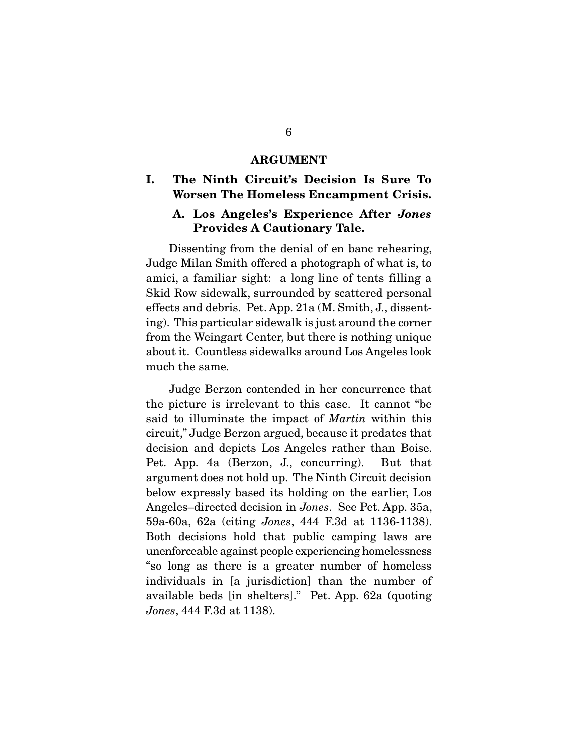#### ARGUMENT

### I. The Ninth Circuit's Decision Is Sure To Worsen The Homeless Encampment Crisis.

### A. Los Angeles's Experience After *Jones*  Provides A Cautionary Tale.

 Dissenting from the denial of en banc rehearing, Judge Milan Smith offered a photograph of what is, to amici, a familiar sight: a long line of tents filling a Skid Row sidewalk, surrounded by scattered personal effects and debris. Pet. App. 21a (M. Smith, J., dissenting). This particular sidewalk is just around the corner from the Weingart Center, but there is nothing unique about it. Countless sidewalks around Los Angeles look much the same.

 Judge Berzon contended in her concurrence that the picture is irrelevant to this case. It cannot "be said to illuminate the impact of *Martin* within this circuit," Judge Berzon argued, because it predates that decision and depicts Los Angeles rather than Boise. Pet. App. 4a (Berzon, J., concurring). But that argument does not hold up. The Ninth Circuit decision below expressly based its holding on the earlier, Los Angeles–directed decision in *Jones*. See Pet. App. 35a, 59a-60a, 62a (citing *Jones*, 444 F.3d at 1136-1138). Both decisions hold that public camping laws are unenforceable against people experiencing homelessness "so long as there is a greater number of homeless individuals in [a jurisdiction] than the number of available beds [in shelters]." Pet. App. 62a (quoting *Jones*, 444 F.3d at 1138).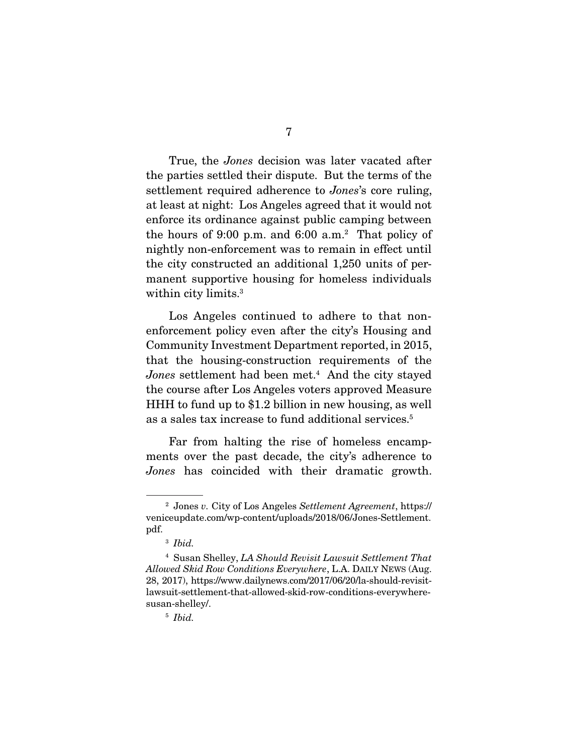True, the *Jones* decision was later vacated after the parties settled their dispute. But the terms of the settlement required adherence to *Jones*'s core ruling, at least at night: Los Angeles agreed that it would not enforce its ordinance against public camping between the hours of 9:00 p.m. and 6:00 a.m.2 That policy of nightly non-enforcement was to remain in effect until the city constructed an additional 1,250 units of permanent supportive housing for homeless individuals within city limits.<sup>3</sup>

 Los Angeles continued to adhere to that nonenforcement policy even after the city's Housing and Community Investment Department reported, in 2015, that the housing-construction requirements of the Jones settlement had been met.<sup>4</sup> And the city stayed the course after Los Angeles voters approved Measure HHH to fund up to \$1.2 billion in new housing, as well as a sales tax increase to fund additional services.<sup>5</sup>

 Far from halting the rise of homeless encampments over the past decade, the city's adherence to *Jones* has coincided with their dramatic growth.

<sup>2</sup> Jones *v.* City of Los Angeles *Settlement Agreement*, https:// veniceupdate.com/wp-content/uploads/2018/06/Jones-Settlement. pdf.

<sup>3</sup> *Ibid.* 

<sup>4</sup> Susan Shelley, *LA Should Revisit Lawsuit Settlement That Allowed Skid Row Conditions Everywhere*, L.A. DAILY NEWS (Aug. 28, 2017), https://www.dailynews.com/2017/06/20/la-should-revisitlawsuit-settlement-that-allowed-skid-row-conditions-everywheresusan-shelley/.

<sup>5</sup> *Ibid.*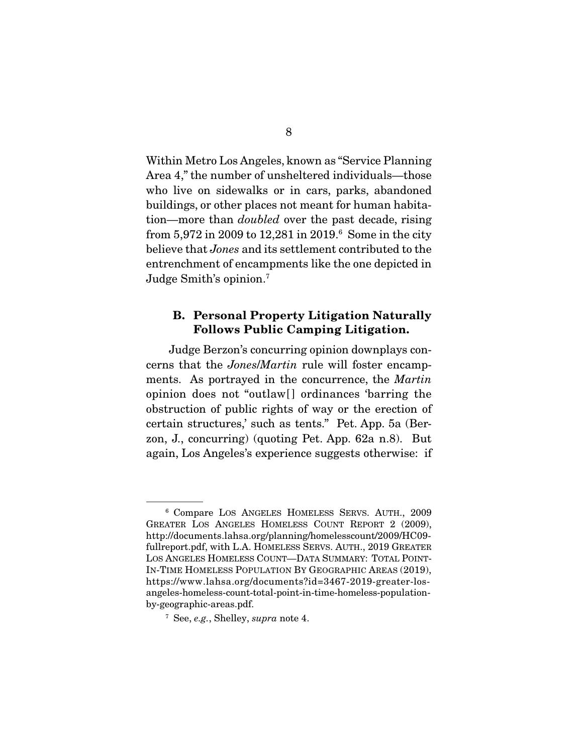Within Metro Los Angeles, known as "Service Planning Area 4," the number of unsheltered individuals—those who live on sidewalks or in cars, parks, abandoned buildings, or other places not meant for human habitation—more than *doubled* over the past decade, rising from 5,972 in 2009 to 12,281 in 2019.6 Some in the city believe that *Jones* and its settlement contributed to the entrenchment of encampments like the one depicted in Judge Smith's opinion.7

### B. Personal Property Litigation Naturally Follows Public Camping Litigation.

 Judge Berzon's concurring opinion downplays concerns that the *Jones*/*Martin* rule will foster encampments. As portrayed in the concurrence, the *Martin*  opinion does not "outlaw[] ordinances 'barring the obstruction of public rights of way or the erection of certain structures,' such as tents." Pet. App. 5a (Berzon, J., concurring) (quoting Pet. App. 62a n.8). But again, Los Angeles's experience suggests otherwise: if

<sup>6</sup> Compare LOS ANGELES HOMELESS SERVS. AUTH., 2009 GREATER LOS ANGELES HOMELESS COUNT REPORT 2 (2009), http://documents.lahsa.org/planning/homelesscount/2009/HC09 fullreport.pdf, with L.A. HOMELESS SERVS. AUTH., 2019 GREATER LOS ANGELES HOMELESS COUNT—DATA SUMMARY: TOTAL POINT-IN-TIME HOMELESS POPULATION BY GEOGRAPHIC AREAS (2019), https://www.lahsa.org/documents?id=3467-2019-greater-losangeles-homeless-count-total-point-in-time-homeless-populationby-geographic-areas.pdf.

<sup>7</sup> See, *e.g.*, Shelley, *supra* note 4.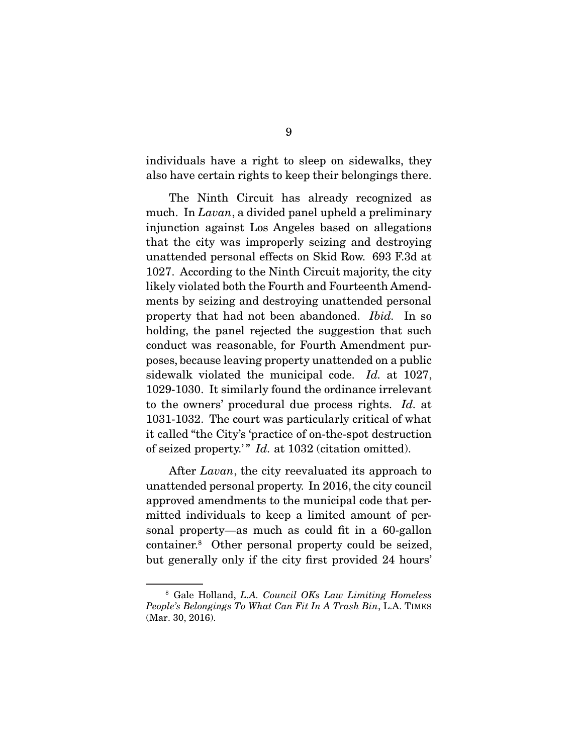individuals have a right to sleep on sidewalks, they also have certain rights to keep their belongings there.

 The Ninth Circuit has already recognized as much. In *Lavan*, a divided panel upheld a preliminary injunction against Los Angeles based on allegations that the city was improperly seizing and destroying unattended personal effects on Skid Row. 693 F.3d at 1027. According to the Ninth Circuit majority, the city likely violated both the Fourth and Fourteenth Amendments by seizing and destroying unattended personal property that had not been abandoned. *Ibid.* In so holding, the panel rejected the suggestion that such conduct was reasonable, for Fourth Amendment purposes, because leaving property unattended on a public sidewalk violated the municipal code. *Id.* at 1027, 1029-1030. It similarly found the ordinance irrelevant to the owners' procedural due process rights. *Id.* at 1031-1032. The court was particularly critical of what it called "the City's 'practice of on-the-spot destruction of seized property.'" *Id.* at 1032 (citation omitted).

 After *Lavan*, the city reevaluated its approach to unattended personal property. In 2016, the city council approved amendments to the municipal code that permitted individuals to keep a limited amount of personal property—as much as could fit in a 60-gallon container.8 Other personal property could be seized, but generally only if the city first provided 24 hours'

<sup>8</sup> Gale Holland, *L.A. Council OKs Law Limiting Homeless People's Belongings To What Can Fit In A Trash Bin*, L.A. TIMES (Mar. 30, 2016).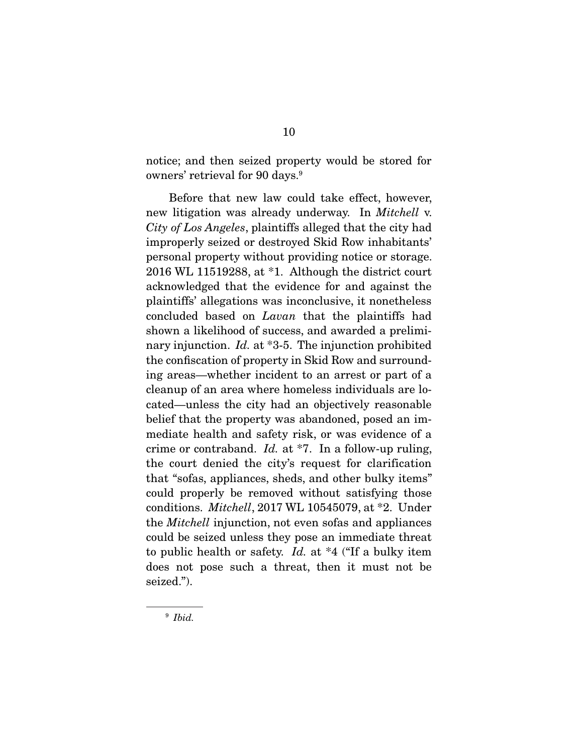notice; and then seized property would be stored for owners' retrieval for 90 days.9

 Before that new law could take effect, however, new litigation was already underway. In *Mitchell* v. *City of Los Angeles*, plaintiffs alleged that the city had improperly seized or destroyed Skid Row inhabitants' personal property without providing notice or storage. 2016 WL 11519288, at \*1. Although the district court acknowledged that the evidence for and against the plaintiffs' allegations was inconclusive, it nonetheless concluded based on *Lavan* that the plaintiffs had shown a likelihood of success, and awarded a preliminary injunction. *Id.* at \*3-5. The injunction prohibited the confiscation of property in Skid Row and surrounding areas—whether incident to an arrest or part of a cleanup of an area where homeless individuals are located—unless the city had an objectively reasonable belief that the property was abandoned, posed an immediate health and safety risk, or was evidence of a crime or contraband. *Id.* at \*7. In a follow-up ruling, the court denied the city's request for clarification that "sofas, appliances, sheds, and other bulky items" could properly be removed without satisfying those conditions. *Mitchell*, 2017 WL 10545079, at \*2. Under the *Mitchell* injunction, not even sofas and appliances could be seized unless they pose an immediate threat to public health or safety. *Id.* at \*4 ("If a bulky item does not pose such a threat, then it must not be seized.").

<sup>9</sup> *Ibid.*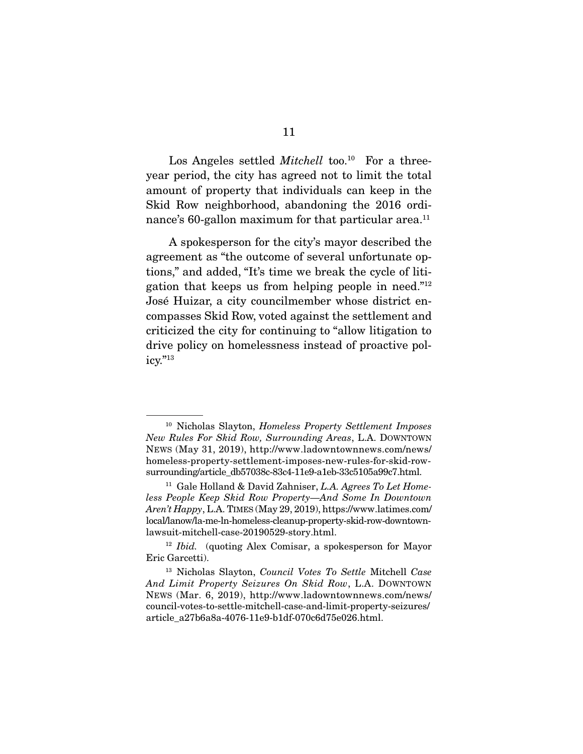Los Angeles settled *Mitchell* too.<sup>10</sup> For a threeyear period, the city has agreed not to limit the total amount of property that individuals can keep in the Skid Row neighborhood, abandoning the 2016 ordinance's 60-gallon maximum for that particular area.<sup>11</sup>

 A spokesperson for the city's mayor described the agreement as "the outcome of several unfortunate options," and added, "It's time we break the cycle of litigation that keeps us from helping people in need."12 José Huizar, a city councilmember whose district encompasses Skid Row, voted against the settlement and criticized the city for continuing to "allow litigation to drive policy on homelessness instead of proactive policy."13

<sup>10</sup> Nicholas Slayton, *Homeless Property Settlement Imposes New Rules For Skid Row, Surrounding Areas*, L.A. DOWNTOWN NEWS (May 31, 2019), http://www.ladowntownnews.com/news/ homeless-property-settlement-imposes-new-rules-for-skid-rowsurrounding/article\_db57038c-83c4-11e9-a1eb-33c5105a99c7.html.

<sup>11</sup> Gale Holland & David Zahniser, *L.A. Agrees To Let Homeless People Keep Skid Row Property—And Some In Downtown Aren't Happy*, L.A. TIMES (May 29, 2019), https://www.latimes.com/ local/lanow/la-me-ln-homeless-cleanup-property-skid-row-downtownlawsuit-mitchell-case-20190529-story.html.

<sup>12</sup> *Ibid.* (quoting Alex Comisar, a spokesperson for Mayor Eric Garcetti).

<sup>13</sup> Nicholas Slayton, *Council Votes To Settle* Mitchell *Case And Limit Property Seizures On Skid Row*, L.A. DOWNTOWN NEWS (Mar. 6, 2019), http://www.ladowntownnews.com/news/ council-votes-to-settle-mitchell-case-and-limit-property-seizures/ article\_a27b6a8a-4076-11e9-b1df-070c6d75e026.html.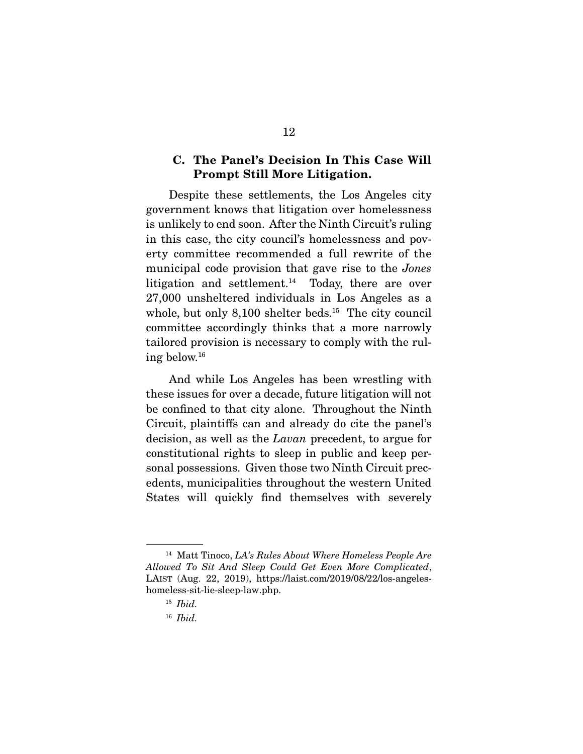### C. The Panel's Decision In This Case Will Prompt Still More Litigation.

 Despite these settlements, the Los Angeles city government knows that litigation over homelessness is unlikely to end soon. After the Ninth Circuit's ruling in this case, the city council's homelessness and poverty committee recommended a full rewrite of the municipal code provision that gave rise to the *Jones*  litigation and settlement.<sup>14</sup> Today, there are over 27,000 unsheltered individuals in Los Angeles as a whole, but only 8,100 shelter beds.<sup>15</sup> The city council committee accordingly thinks that a more narrowly tailored provision is necessary to comply with the ruling below.16

 And while Los Angeles has been wrestling with these issues for over a decade, future litigation will not be confined to that city alone. Throughout the Ninth Circuit, plaintiffs can and already do cite the panel's decision, as well as the *Lavan* precedent, to argue for constitutional rights to sleep in public and keep personal possessions. Given those two Ninth Circuit precedents, municipalities throughout the western United States will quickly find themselves with severely

<sup>14</sup> Matt Tinoco, *LA's Rules About Where Homeless People Are Allowed To Sit And Sleep Could Get Even More Complicated*, LAIST (Aug. 22, 2019), https://laist.com/2019/08/22/los-angeleshomeless-sit-lie-sleep-law.php.

<sup>15</sup> *Ibid.*

<sup>16</sup> *Ibid.*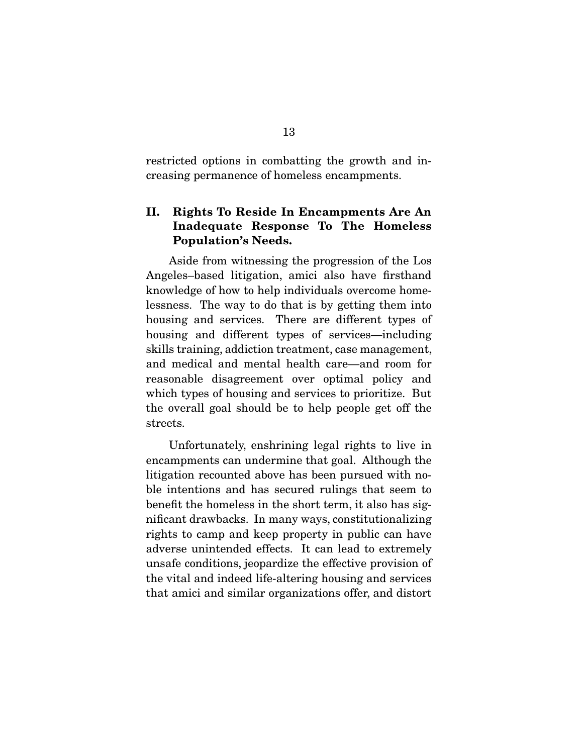restricted options in combatting the growth and increasing permanence of homeless encampments.

### II. Rights To Reside In Encampments Are An Inadequate Response To The Homeless Population's Needs.

 Aside from witnessing the progression of the Los Angeles–based litigation, amici also have firsthand knowledge of how to help individuals overcome homelessness. The way to do that is by getting them into housing and services. There are different types of housing and different types of services—including skills training, addiction treatment, case management, and medical and mental health care—and room for reasonable disagreement over optimal policy and which types of housing and services to prioritize. But the overall goal should be to help people get off the streets.

 Unfortunately, enshrining legal rights to live in encampments can undermine that goal. Although the litigation recounted above has been pursued with noble intentions and has secured rulings that seem to benefit the homeless in the short term, it also has significant drawbacks. In many ways, constitutionalizing rights to camp and keep property in public can have adverse unintended effects. It can lead to extremely unsafe conditions, jeopardize the effective provision of the vital and indeed life-altering housing and services that amici and similar organizations offer, and distort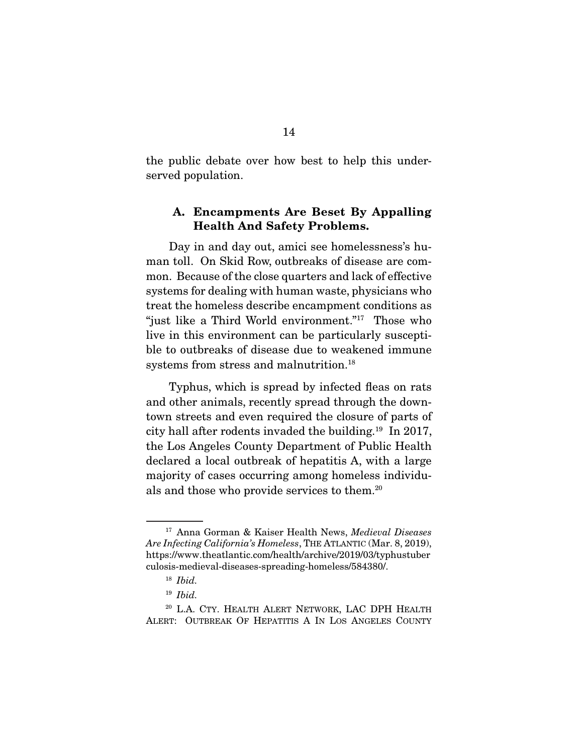the public debate over how best to help this underserved population.

### A. Encampments Are Beset By Appalling Health And Safety Problems.

 Day in and day out, amici see homelessness's human toll. On Skid Row, outbreaks of disease are common. Because of the close quarters and lack of effective systems for dealing with human waste, physicians who treat the homeless describe encampment conditions as "just like a Third World environment."<sup>17</sup> Those who live in this environment can be particularly susceptible to outbreaks of disease due to weakened immune systems from stress and malnutrition.18

 Typhus, which is spread by infected fleas on rats and other animals, recently spread through the downtown streets and even required the closure of parts of city hall after rodents invaded the building.19 In 2017, the Los Angeles County Department of Public Health declared a local outbreak of hepatitis A, with a large majority of cases occurring among homeless individuals and those who provide services to them.20

<sup>17</sup> Anna Gorman & Kaiser Health News, *Medieval Diseases Are Infecting California's Homeless*, THE ATLANTIC (Mar. 8, 2019), https://www.theatlantic.com/health/archive/2019/03/typhustuber culosis-medieval-diseases-spreading-homeless/584380/.

<sup>18</sup> *Ibid.*

<sup>19</sup> *Ibid.*

<sup>&</sup>lt;sup>20</sup> L.A. CTY. HEALTH ALERT NETWORK, LAC DPH HEALTH ALERT: OUTBREAK OF HEPATITIS A IN LOS ANGELES COUNTY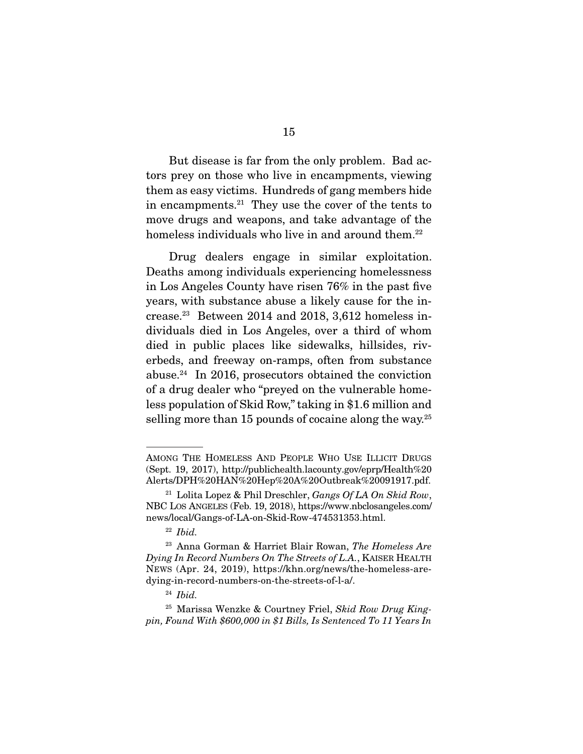But disease is far from the only problem. Bad actors prey on those who live in encampments, viewing them as easy victims. Hundreds of gang members hide in encampments.21 They use the cover of the tents to move drugs and weapons, and take advantage of the homeless individuals who live in and around them.<sup>22</sup>

 Drug dealers engage in similar exploitation. Deaths among individuals experiencing homelessness in Los Angeles County have risen 76% in the past five years, with substance abuse a likely cause for the increase. $23$  Between 2014 and 2018, 3,612 homeless individuals died in Los Angeles, over a third of whom died in public places like sidewalks, hillsides, riverbeds, and freeway on-ramps, often from substance abuse. $24$  In 2016, prosecutors obtained the conviction of a drug dealer who "preyed on the vulnerable homeless population of Skid Row," taking in \$1.6 million and selling more than 15 pounds of cocaine along the way. $25$ 

AMONG THE HOMELESS AND PEOPLE WHO USE ILLICIT DRUGS (Sept. 19, 2017), http://publichealth.lacounty.gov/eprp/Health%20 Alerts/DPH%20HAN%20Hep%20A%20Outbreak%20091917.pdf.

<sup>21</sup> Lolita Lopez & Phil Dreschler, *Gangs Of LA On Skid Row*, NBC LOS ANGELES (Feb. 19, 2018), https://www.nbclosangeles.com/ news/local/Gangs-of-LA-on-Skid-Row-474531353.html.

<sup>22</sup> *Ibid.*

<sup>23</sup> Anna Gorman & Harriet Blair Rowan, *The Homeless Are Dying In Record Numbers On The Streets of L.A.*, KAISER HEALTH NEWS (Apr. 24, 2019), https://khn.org/news/the-homeless-aredying-in-record-numbers-on-the-streets-of-l-a/.

<sup>24</sup> *Ibid.* 

<sup>25</sup> Marissa Wenzke & Courtney Friel, *Skid Row Drug Kingpin, Found With \$600,000 in \$1 Bills, Is Sentenced To 11 Years In*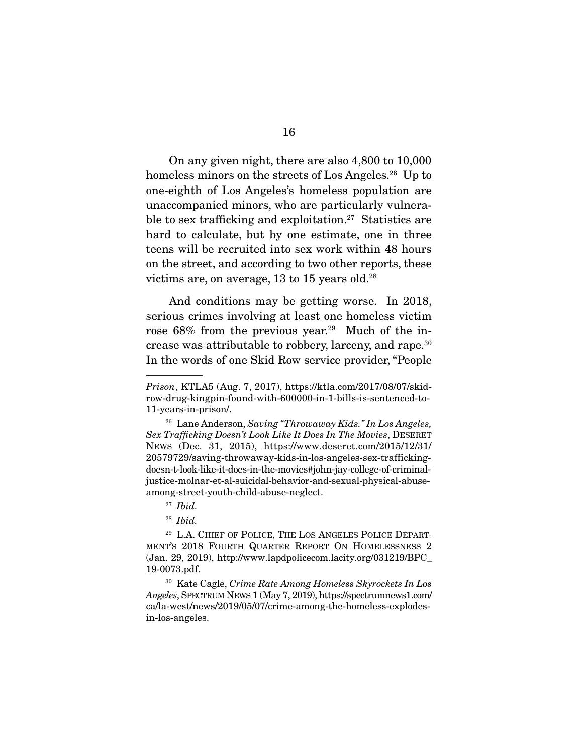On any given night, there are also 4,800 to 10,000 homeless minors on the streets of Los Angeles.<sup>26</sup> Up to one-eighth of Los Angeles's homeless population are unaccompanied minors, who are particularly vulnerable to sex trafficking and exploitation.<sup>27</sup> Statistics are hard to calculate, but by one estimate, one in three teens will be recruited into sex work within 48 hours on the street, and according to two other reports, these victims are, on average,  $13$  to  $15$  years old.<sup>28</sup>

 And conditions may be getting worse. In 2018, serious crimes involving at least one homeless victim rose  $68\%$  from the previous year.<sup>29</sup> Much of the increase was attributable to robbery, larceny, and rape.30 In the words of one Skid Row service provider, "People

*Prison*, KTLA5 (Aug. 7, 2017), https://ktla.com/2017/08/07/skidrow-drug-kingpin-found-with-600000-in-1-bills-is-sentenced-to-11-years-in-prison/.

<sup>26</sup> Lane Anderson, *Saving "Throwaway Kids." In Los Angeles, Sex Trafficking Doesn't Look Like It Does In The Movies*, DESERET NEWS (Dec. 31, 2015), https://www.deseret.com/2015/12/31/ 20579729/saving-throwaway-kids-in-los-angeles-sex-traffickingdoesn-t-look-like-it-does-in-the-movies#john-jay-college-of-criminaljustice-molnar-et-al-suicidal-behavior-and-sexual-physical-abuseamong-street-youth-child-abuse-neglect.

<sup>27</sup> *Ibid.* 

<sup>28</sup> *Ibid.*

<sup>&</sup>lt;sup>29</sup> L.A. CHIEF OF POLICE, THE LOS ANGELES POLICE DEPART-MENT'S 2018 FOURTH QUARTER REPORT ON HOMELESSNESS 2 (Jan. 29, 2019), http://www.lapdpolicecom.lacity.org/031219/BPC\_ 19-0073.pdf.

<sup>30</sup> Kate Cagle, *Crime Rate Among Homeless Skyrockets In Los Angeles*, SPECTRUM NEWS 1 (May 7, 2019), https://spectrumnews1.com/ ca/la-west/news/2019/05/07/crime-among-the-homeless-explodesin-los-angeles.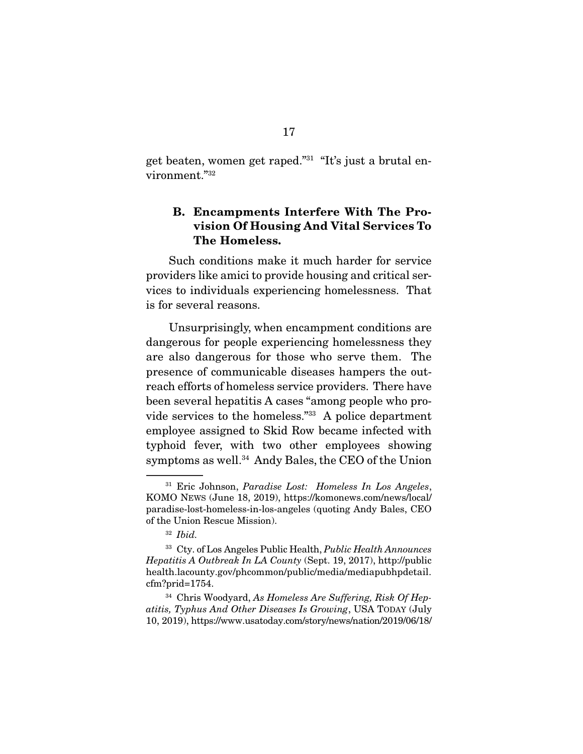get beaten, women get raped."31 "It's just a brutal environment."32

### B. Encampments Interfere With The Provision Of Housing And Vital Services To The Homeless.

 Such conditions make it much harder for service providers like amici to provide housing and critical services to individuals experiencing homelessness. That is for several reasons.

 Unsurprisingly, when encampment conditions are dangerous for people experiencing homelessness they are also dangerous for those who serve them. The presence of communicable diseases hampers the outreach efforts of homeless service providers. There have been several hepatitis A cases "among people who provide services to the homeless."33 A police department employee assigned to Skid Row became infected with typhoid fever, with two other employees showing symptoms as well.<sup>34</sup> Andy Bales, the CEO of the Union

<sup>34</sup> Chris Woodyard, *As Homeless Are Suffering, Risk Of Hepatitis, Typhus And Other Diseases Is Growing*, USA TODAY (July 10, 2019), https://www.usatoday.com/story/news/nation/2019/06/18/

<sup>31</sup> Eric Johnson, *Paradise Lost: Homeless In Los Angeles*, KOMO NEWS (June 18, 2019), https://komonews.com/news/local/ paradise-lost-homeless-in-los-angeles (quoting Andy Bales, CEO of the Union Rescue Mission).

<sup>32</sup> *Ibid.* 

<sup>33</sup> Cty. of Los Angeles Public Health, *Public Health Announces Hepatitis A Outbreak In LA County* (Sept. 19, 2017), http://public health.lacounty.gov/phcommon/public/media/mediapubhpdetail. cfm?prid=1754.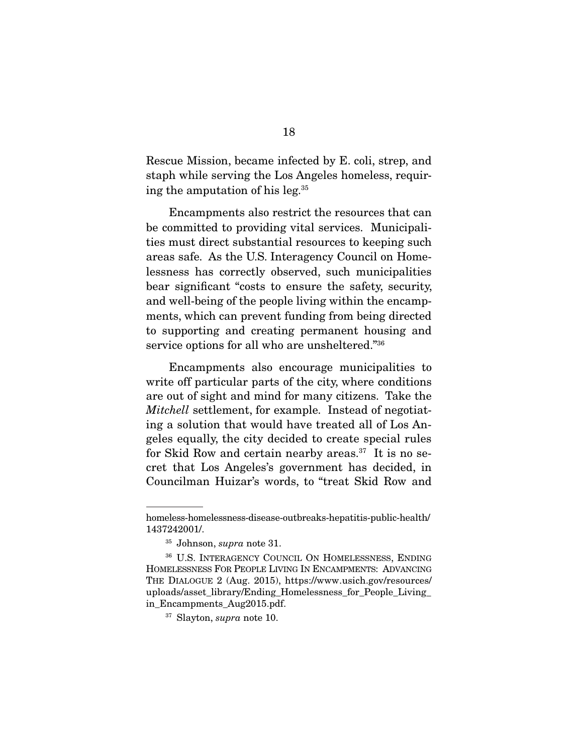Rescue Mission, became infected by E. coli, strep, and staph while serving the Los Angeles homeless, requiring the amputation of his leg.35

 Encampments also restrict the resources that can be committed to providing vital services. Municipalities must direct substantial resources to keeping such areas safe. As the U.S. Interagency Council on Homelessness has correctly observed, such municipalities bear significant "costs to ensure the safety, security, and well-being of the people living within the encampments, which can prevent funding from being directed to supporting and creating permanent housing and service options for all who are unsheltered."36

 Encampments also encourage municipalities to write off particular parts of the city, where conditions are out of sight and mind for many citizens. Take the *Mitchell* settlement, for example. Instead of negotiating a solution that would have treated all of Los Angeles equally, the city decided to create special rules for Skid Row and certain nearby areas.<sup>37</sup> It is no secret that Los Angeles's government has decided, in Councilman Huizar's words, to "treat Skid Row and

homeless-homelessness-disease-outbreaks-hepatitis-public-health/ 1437242001/.

<sup>35</sup> Johnson, *supra* note 31.

<sup>36</sup> U.S. INTERAGENCY COUNCIL ON HOMELESSNESS, ENDING HOMELESSNESS FOR PEOPLE LIVING IN ENCAMPMENTS: ADVANCING THE DIALOGUE 2 (Aug. 2015), https://www.usich.gov/resources/ uploads/asset\_library/Ending\_Homelessness\_for\_People\_Living\_ in Encampments Aug2015.pdf.

<sup>37</sup> Slayton, *supra* note 10.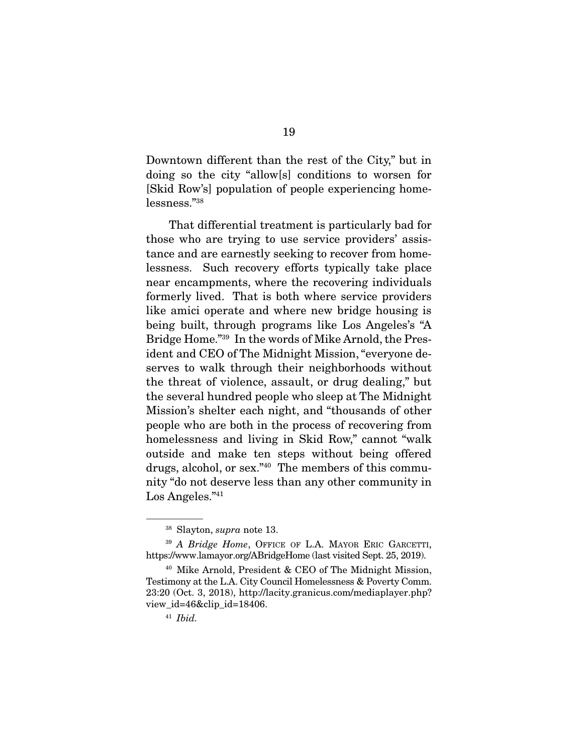Downtown different than the rest of the City," but in doing so the city "allow[s] conditions to worsen for [Skid Row's] population of people experiencing homelessness."38

 That differential treatment is particularly bad for those who are trying to use service providers' assistance and are earnestly seeking to recover from homelessness. Such recovery efforts typically take place near encampments, where the recovering individuals formerly lived. That is both where service providers like amici operate and where new bridge housing is being built, through programs like Los Angeles's "A Bridge Home."39 In the words of Mike Arnold, the President and CEO of The Midnight Mission, "everyone deserves to walk through their neighborhoods without the threat of violence, assault, or drug dealing," but the several hundred people who sleep at The Midnight Mission's shelter each night, and "thousands of other people who are both in the process of recovering from homelessness and living in Skid Row," cannot "walk outside and make ten steps without being offered drugs, alcohol, or sex."40 The members of this community "do not deserve less than any other community in Los Angeles."41

<sup>38</sup> Slayton, *supra* note 13.

<sup>39</sup> *A Bridge Home*, OFFICE OF L.A. MAYOR ERIC GARCETTI, https://www.lamayor.org/ABridgeHome (last visited Sept. 25, 2019).

<sup>40</sup> Mike Arnold, President & CEO of The Midnight Mission, Testimony at the L.A. City Council Homelessness & Poverty Comm. 23:20 (Oct. 3, 2018), http://lacity.granicus.com/mediaplayer.php? view id=46&clip id=18406.

<sup>41</sup> *Ibid.*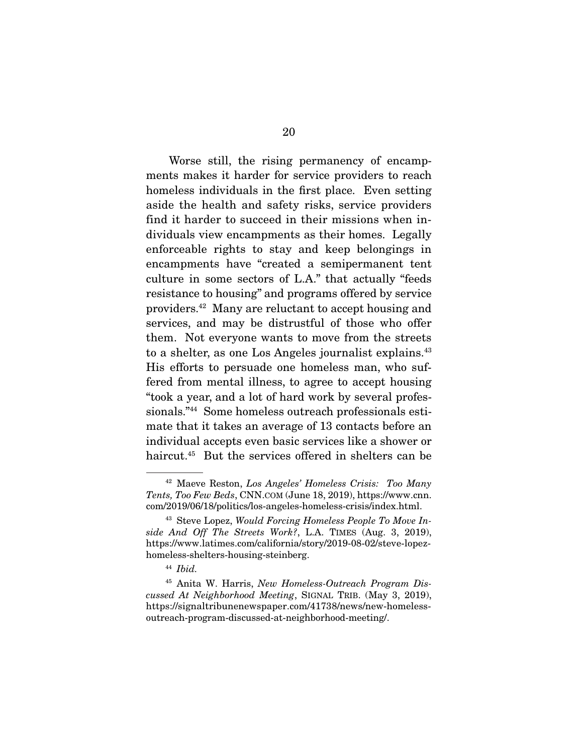Worse still, the rising permanency of encampments makes it harder for service providers to reach homeless individuals in the first place. Even setting aside the health and safety risks, service providers find it harder to succeed in their missions when individuals view encampments as their homes. Legally enforceable rights to stay and keep belongings in encampments have "created a semipermanent tent culture in some sectors of L.A." that actually "feeds resistance to housing" and programs offered by service providers.42 Many are reluctant to accept housing and services, and may be distrustful of those who offer them. Not everyone wants to move from the streets to a shelter, as one Los Angeles journalist explains.<sup>43</sup> His efforts to persuade one homeless man, who suffered from mental illness, to agree to accept housing "took a year, and a lot of hard work by several professionals."44 Some homeless outreach professionals estimate that it takes an average of 13 contacts before an individual accepts even basic services like a shower or haircut.45 But the services offered in shelters can be

<sup>42</sup> Maeve Reston, *Los Angeles' Homeless Crisis: Too Many Tents, Too Few Beds*, CNN.COM (June 18, 2019), https://www.cnn. com/2019/06/18/politics/los-angeles-homeless-crisis/index.html.

<sup>43</sup> Steve Lopez, *Would Forcing Homeless People To Move Inside And Off The Streets Work?*, L.A. TIMES (Aug. 3, 2019), https://www.latimes.com/california/story/2019-08-02/steve-lopezhomeless-shelters-housing-steinberg.

<sup>44</sup> *Ibid.* 

<sup>45</sup> Anita W. Harris, *New Homeless-Outreach Program Discussed At Neighborhood Meeting*, SIGNAL TRIB. (May 3, 2019), https://signaltribunenewspaper.com/41738/news/new-homelessoutreach-program-discussed-at-neighborhood-meeting/.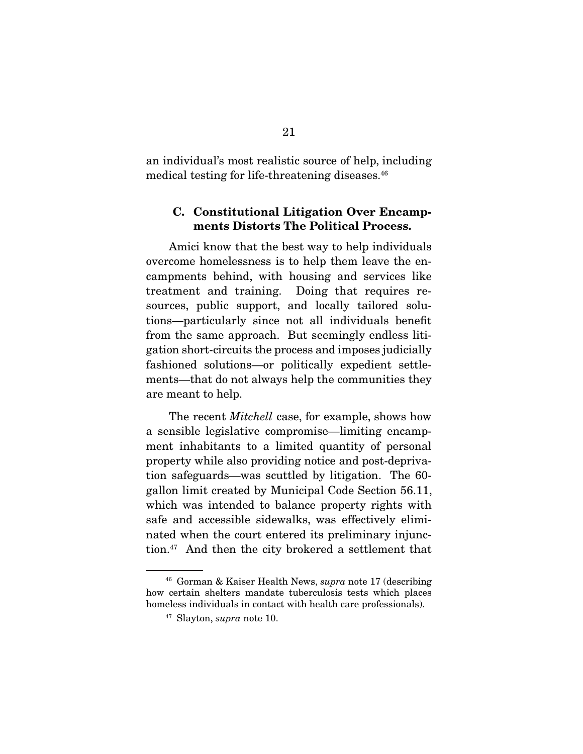an individual's most realistic source of help, including medical testing for life-threatening diseases.<sup>46</sup>

### C. Constitutional Litigation Over Encampments Distorts The Political Process.

 Amici know that the best way to help individuals overcome homelessness is to help them leave the encampments behind, with housing and services like treatment and training. Doing that requires resources, public support, and locally tailored solutions—particularly since not all individuals benefit from the same approach. But seemingly endless litigation short-circuits the process and imposes judicially fashioned solutions—or politically expedient settlements—that do not always help the communities they are meant to help.

 The recent *Mitchell* case, for example, shows how a sensible legislative compromise—limiting encampment inhabitants to a limited quantity of personal property while also providing notice and post-deprivation safeguards—was scuttled by litigation. The 60 gallon limit created by Municipal Code Section 56.11, which was intended to balance property rights with safe and accessible sidewalks, was effectively eliminated when the court entered its preliminary injunction.47 And then the city brokered a settlement that

<sup>46</sup> Gorman & Kaiser Health News, *supra* note 17 (describing how certain shelters mandate tuberculosis tests which places homeless individuals in contact with health care professionals).

<sup>47</sup> Slayton, *supra* note 10.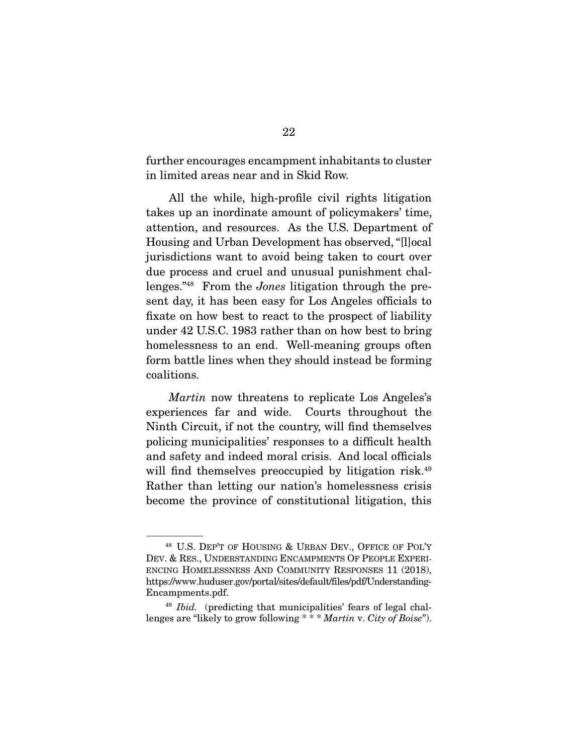further encourages encampment inhabitants to cluster in limited areas near and in Skid Row.

 All the while, high-profile civil rights litigation takes up an inordinate amount of policymakers' time, attention, and resources. As the U.S. Department of Housing and Urban Development has observed, "[l]ocal jurisdictions want to avoid being taken to court over due process and cruel and unusual punishment challenges."48 From the *Jones* litigation through the present day, it has been easy for Los Angeles officials to fixate on how best to react to the prospect of liability under 42 U.S.C. 1983 rather than on how best to bring homelessness to an end. Well-meaning groups often form battle lines when they should instead be forming coalitions.

*Martin* now threatens to replicate Los Angeles's experiences far and wide. Courts throughout the Ninth Circuit, if not the country, will find themselves policing municipalities' responses to a difficult health and safety and indeed moral crisis. And local officials will find themselves preoccupied by litigation risk.<sup>49</sup> Rather than letting our nation's homelessness crisis become the province of constitutional litigation, this

<sup>48</sup> U.S. DEP'T OF HOUSING & URBAN DEV., OFFICE OF POL'Y DEV. & RES., UNDERSTANDING ENCAMPMENTS OF PEOPLE EXPERI-ENCING HOMELESSNESS AND COMMUNITY RESPONSES 11 (2018), https://www.huduser.gov/portal/sites/default/files/pdf/Understanding-Encampments.pdf.

<sup>49</sup> *Ibid.* (predicting that municipalities' fears of legal challenges are "likely to grow following \* \* \* *Martin* v. *City of Boise*").